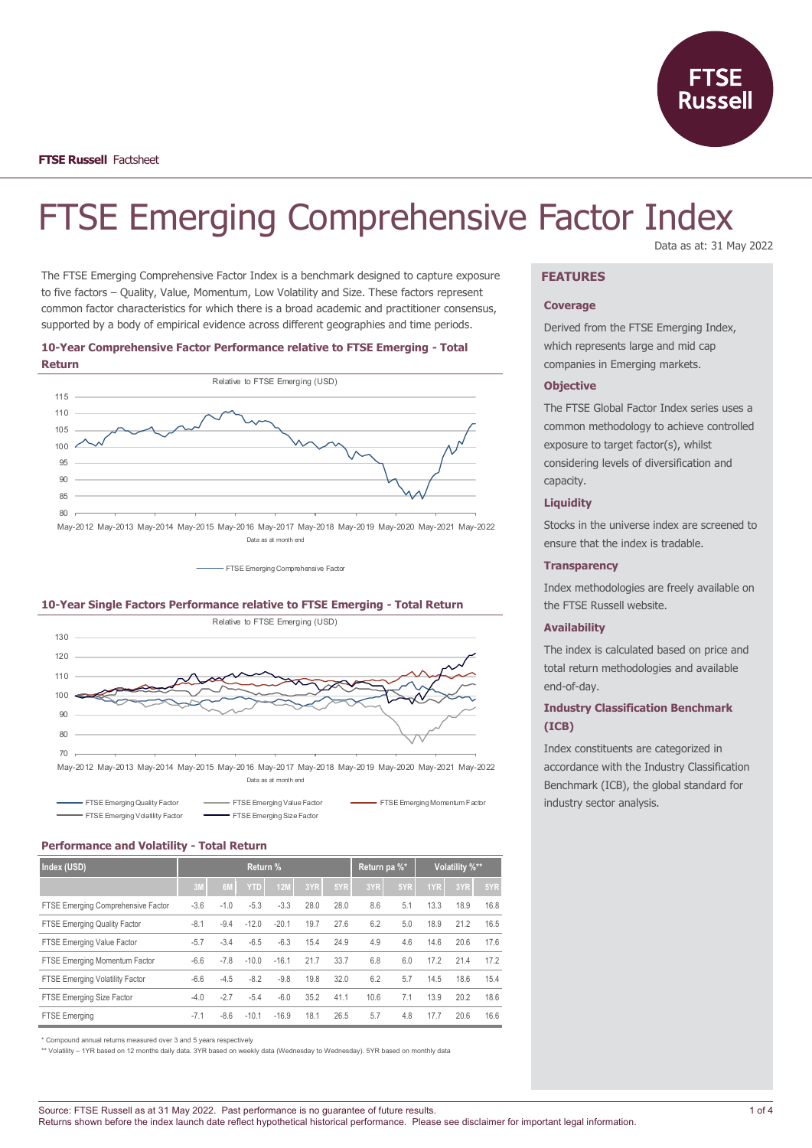

# FTSE Emerging Comprehensive Factor Index

The FTSE Emerging Comprehensive Factor Index is a benchmark designed to capture exposure to five factors – Quality, Value, Momentum, Low Volatility and Size. These factors represent common factor characteristics for which there is a broad academic and practitioner consensus, supported by a body of empirical evidence across different geographies and time periods.

## **10-Year Comprehensive Factor Performance relative to FTSE Emerging - Total Return**



FTSE Emerging Comprehensive Factor

## **10-Year Single Factors Performance relative to FTSE Emerging - Total Return**



May-2012 May-2013 May-2014 May-2015 May-2016 May-2017 May-2018 May-2019 May-2020 May-2021 May-2022 Data as at month end

| <b>EXAMPLE EXAMPLE EXAMPLE PROPERTY FACTOR</b> | FTSE Emerging Value Factor | FTSE Emerging Momentum Factor |
|------------------------------------------------|----------------------------|-------------------------------|
| FTSE Emerging Volatility Factor                | FTSE Emerging Size Factor  |                               |

## **Performance and Volatility - Total Return**

| Index (USD)                            | Return % |                |            |            | Return pa %* |      | Volatility %** |     |      |      |      |
|----------------------------------------|----------|----------------|------------|------------|--------------|------|----------------|-----|------|------|------|
|                                        | 3M       | 6 <sub>N</sub> | <b>YTD</b> | <b>12M</b> | 3YR          | 5YR  | 3YR            | 5YR | 1YR  | 3YR  | 5YR  |
| FTSE Emerging Comprehensive Factor     | $-3.6$   | $-1.0$         | $-5.3$     | $-3.3$     | 28.0         | 28.0 | 8.6            | 5.1 | 13.3 | 18.9 | 16.8 |
| <b>FTSE Emerging Quality Factor</b>    | $-8.1$   | $-9.4$         | $-12.0$    | $-20.1$    | 19.7         | 27.6 | 6.2            | 5.0 | 18.9 | 21.2 | 16.5 |
| FTSE Emerging Value Factor             | $-5.7$   | $-3.4$         | $-6.5$     | $-6.3$     | 15.4         | 24.9 | 4.9            | 4.6 | 14.6 | 20.6 | 17.6 |
| FTSE Emerging Momentum Factor          | $-6.6$   | $-7.8$         | $-10.0$    | $-16.1$    | 21.7         | 33.7 | 6.8            | 6.0 | 17.2 | 21.4 | 17.2 |
| <b>FTSE Emerging Volatility Factor</b> | $-6.6$   | $-4.5$         | $-8.2$     | $-9.8$     | 19.8         | 32.0 | 6.2            | 5.7 | 14.5 | 18.6 | 15.4 |
| FTSE Emerging Size Factor              | $-4.0$   | $-2.7$         | $-5.4$     | $-6.0$     | 35.2         | 41.1 | 10.6           | 7.1 | 13.9 | 20.2 | 18.6 |
| <b>FTSE Emerging</b>                   | $-7.1$   | $-8.6$         | $-10.1$    | $-16.9$    | 18.1         | 26.5 | 5.7            | 4.8 | 17.7 | 20.6 | 16.6 |

\* Compound annual returns measured over 3 and 5 years respectively

\*\* Volatility – 1YR based on 12 months daily data. 3YR based on weekly data (Wednesday to Wednesday). 5YR based on monthly data

# Data as at: 31 May 2022

# **FEATURES**

## **Coverage**

Derived from the FTSE Emerging Index, which represents large and mid cap companies in Emerging markets.

## **Objective**

The FTSE Global Factor Index series uses a common methodology to achieve controlled exposure to target factor(s), whilst considering levels of diversification and capacity.

## **Liquidity**

Stocks in the universe index are screened to ensure that the index is tradable.

#### **Transparency**

Index methodologies are freely available on the FTSE Russell website.

## **Availability**

The index is calculated based on price and total return methodologies and available end-of-day.

# **Industry Classification Benchmark (ICB)**

Index constituents are categorized in accordance with the Industry Classification Benchmark (ICB), the global standard for industry sector analysis.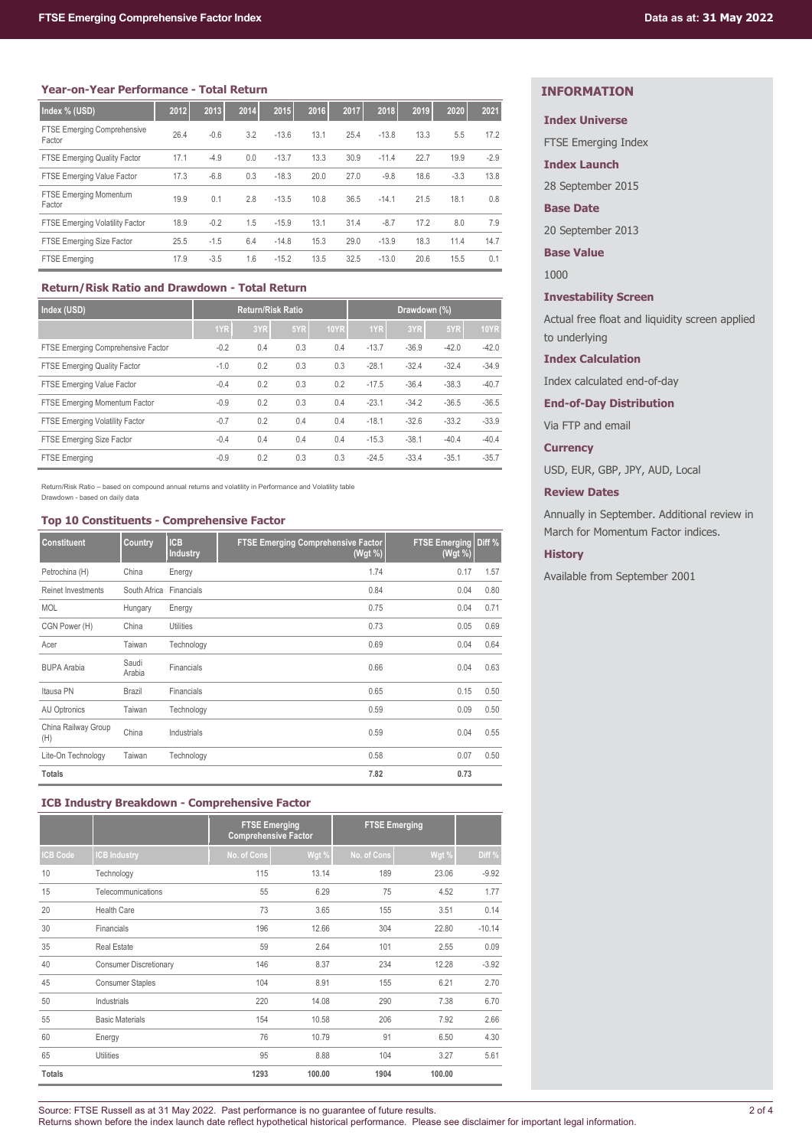| Index % (USD)                                | 2012 | 2013   | 2014 | 2015    | 2016 | 2017 | 2018    | 2019 | 2020   | 2021   |
|----------------------------------------------|------|--------|------|---------|------|------|---------|------|--------|--------|
| <b>FTSE Emerging Comprehensive</b><br>Factor | 26.4 | $-0.6$ | 3.2  | $-13.6$ | 13.1 | 25.4 | $-13.8$ | 13.3 | 5.5    | 17.2   |
| <b>FTSE Emerging Quality Factor</b>          | 17.1 | $-4.9$ | 0.0  | $-13.7$ | 13.3 | 30.9 | $-11.4$ | 22.7 | 19.9   | $-2.9$ |
| FTSE Emerging Value Factor                   | 17.3 | $-6.8$ | 0.3  | $-18.3$ | 20.0 | 27.0 | $-9.8$  | 18.6 | $-3.3$ | 13.8   |
| <b>FTSE Emerging Momentum</b><br>Factor      | 19.9 | 0.1    | 2.8  | $-13.5$ | 10.8 | 36.5 | $-14.1$ | 21.5 | 18.1   | 0.8    |
| <b>FTSE Emerging Volatility Factor</b>       | 18.9 | $-0.2$ | 1.5  | $-15.9$ | 13.1 | 31.4 | $-8.7$  | 17.2 | 8.0    | 7.9    |
| FTSE Emerging Size Factor                    | 25.5 | $-1.5$ | 6.4  | $-14.8$ | 15.3 | 29.0 | $-13.9$ | 18.3 | 11.4   | 14.7   |
| <b>FTSE Emerging</b>                         | 17.9 | $-3.5$ | 1.6  | $-15.2$ | 13.5 | 32.5 | $-13.0$ | 20.6 | 15.5   | 0.1    |

# **Return/Risk Ratio and Drawdown - Total Return**

| Index (USD)                        | <b>Return/Risk Ratio</b> |     |     | Drawdown (%) |         |         |         |             |
|------------------------------------|--------------------------|-----|-----|--------------|---------|---------|---------|-------------|
|                                    | 1YR                      | 3YR | 5YR | <b>10YR</b>  | 1YR     | 3YR     | 5YR     | <b>10YR</b> |
| FTSE Emerging Comprehensive Factor | $-0.2$                   | 0.4 | 0.3 | 0.4          | $-13.7$ | $-36.9$ | $-42.0$ | $-42.0$     |
| FTSE Emerging Quality Factor       | $-1.0$                   | 0.2 | 0.3 | 0.3          | $-28.1$ | $-32.4$ | $-32.4$ | $-34.9$     |
| FTSE Emerging Value Factor         | $-0.4$                   | 0.2 | 0.3 | 0.2          | $-17.5$ | $-36.4$ | $-38.3$ | $-40.7$     |
| FTSE Emerging Momentum Factor      | $-0.9$                   | 0.2 | 0.3 | 0.4          | $-23.1$ | $-34.2$ | $-36.5$ | $-36.5$     |
| FTSE Emerging Volatility Factor    | $-0.7$                   | 0.2 | 0.4 | 0.4          | $-18.1$ | $-32.6$ | $-33.2$ | $-33.9$     |
| FTSE Emerging Size Factor          | $-0.4$                   | 0.4 | 0.4 | 0.4          | $-15.3$ | $-38.1$ | $-40.4$ | $-40.4$     |
| <b>FTSE Emerging</b>               | $-0.9$                   | 0.2 | 0.3 | 0.3          | $-24.5$ | $-33.4$ | $-35.1$ | $-35.7$     |

Return/Risk Ratio – based on compound annual returns and volatility in Performance and Volatility table Drawdown - based on daily data

#### **Top 10 Constituents - Comprehensive Factor**

| <b>Constituent</b>         | Country         | <b>ICB</b><br><b>Industry</b> | <b>FTSE Emerging Comprehensive Factor</b><br>(Wgt %) | <b>FTSE Emerging</b><br>(Wgt %) | Diff % |
|----------------------------|-----------------|-------------------------------|------------------------------------------------------|---------------------------------|--------|
| Petrochina (H)             | China           | Energy                        | 1.74                                                 | 0.17                            | 1.57   |
| Reinet Investments         | South Africa    | Financials                    | 0.84                                                 | 0.04                            | 0.80   |
| <b>MOL</b>                 | Hungary         | Energy                        | 0.75                                                 | 0.04                            | 0.71   |
| CGN Power (H)              | China           | <b>Utilities</b>              | 0.73                                                 | 0.05                            | 0.69   |
| Acer                       | Taiwan          | Technology                    | 0.69                                                 | 0.04                            | 0.64   |
| <b>BUPA Arabia</b>         | Saudi<br>Arabia | Financials                    | 0.66                                                 | 0.04                            | 0.63   |
| Itausa PN                  | Brazil          | Financials                    | 0.65                                                 | 0.15                            | 0.50   |
| AU Optronics               | Taiwan          | Technology                    | 0.59                                                 | 0.09                            | 0.50   |
| China Railway Group<br>(H) | China           | Industrials                   | 0.59                                                 | 0.04                            | 0.55   |
| Lite-On Technology         | Taiwan          | Technology                    | 0.58                                                 | 0.07                            | 0.50   |
| <b>Totals</b>              |                 |                               | 7.82                                                 | 0.73                            |        |

# **ICB Industry Breakdown - Comprehensive Factor**

|                |                               | <b>FTSE Emerging</b><br><b>Comprehensive Factor</b> |        | <b>FTSE Emerging</b> |        |          |
|----------------|-------------------------------|-----------------------------------------------------|--------|----------------------|--------|----------|
| <b>CB Code</b> | <b>CB Industry</b>            | No. of Cons                                         | Wgt %  | No. of Cons          | Wgt %  | Diff %   |
| 10             | Technology                    | 115                                                 | 13.14  | 189                  | 23.06  | $-9.92$  |
| 15             | Telecommunications            | 55                                                  | 6.29   | 75                   | 4.52   | 1.77     |
| 20             | <b>Health Care</b>            | 73                                                  | 3.65   | 155                  | 3.51   | 0.14     |
| 30             | Financials                    | 196                                                 | 12.66  | 304                  | 22.80  | $-10.14$ |
| 35             | <b>Real Estate</b>            | 59                                                  | 2.64   | 101                  | 2.55   | 0.09     |
| 40             | <b>Consumer Discretionary</b> | 146                                                 | 8.37   | 234                  | 12.28  | $-3.92$  |
| 45             | <b>Consumer Staples</b>       | 104                                                 | 8.91   | 155                  | 6.21   | 2.70     |
| 50             | Industrials                   | 220                                                 | 14.08  | 290                  | 7.38   | 6.70     |
| 55             | <b>Basic Materials</b>        | 154                                                 | 10.58  | 206                  | 7.92   | 2.66     |
| 60             | Energy                        | 76                                                  | 10.79  | 91                   | 6.50   | 4.30     |
| 65             | Utilities                     | 95                                                  | 8.88   | 104                  | 3.27   | 5.61     |
| <b>Totals</b>  |                               | 1293                                                | 100.00 | 1904                 | 100.00 |          |

# **INFORMATION**

# **Index Universe**

FTSE Emerging Index

**Index Launch**

28 September 2015

## **Base Date**

20 September 2013

**Base Value**

1000

# **Investability Screen**

Actual free float and liquidity screen applied to underlying

## **Index Calculation**

Index calculated end-of-day

**End-of-Day Distribution**

Via FTP and email

# **Currency**

USD, EUR, GBP, JPY, AUD, Local

# **Review Dates**

Annually in September. Additional review in March for Momentum Factor indices.

## **History**

Available from September 2001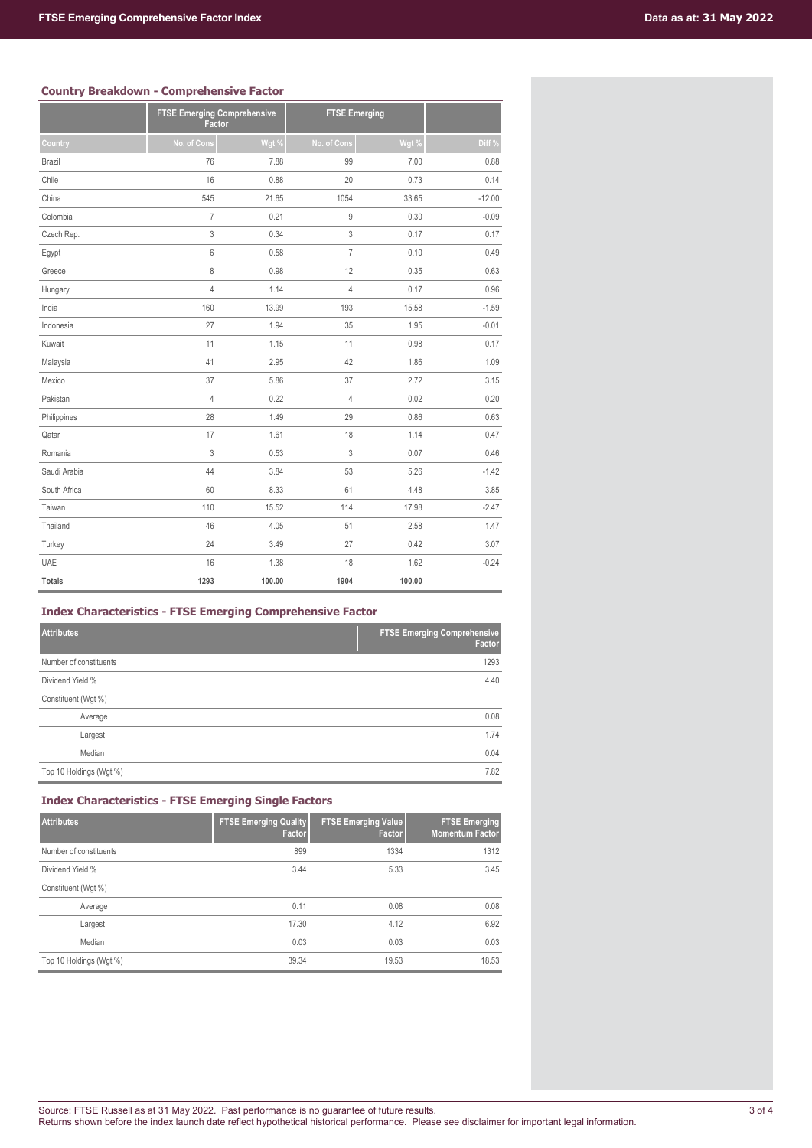# **Country Breakdown - Comprehensive Factor**

| www.c.y provins | ww.mprw.comu                                 |        |                      |        |          |
|-----------------|----------------------------------------------|--------|----------------------|--------|----------|
|                 | <b>FTSE Emerging Comprehensive</b><br>Factor |        | <b>FTSE Emerging</b> |        |          |
| Country         | No. of Cons                                  | Wgt %  | No. of Cons          | Wgt %  | Diff %   |
| Brazil          | 76                                           | 7.88   | 99                   | 7.00   | 0.88     |
| Chile           | 16                                           | 0.88   | 20                   | 0.73   | 0.14     |
| China           | 545                                          | 21.65  | 1054                 | 33.65  | $-12.00$ |
| Colombia        | $\overline{I}$                               | 0.21   | 9                    | 0.30   | $-0.09$  |
| Czech Rep.      | 3                                            | 0.34   | 3                    | 0.17   | 0.17     |
| Egypt           | 6                                            | 0.58   | $\overline{7}$       | 0.10   | 0.49     |
| Greece          | 8                                            | 0.98   | 12                   | 0.35   | 0.63     |
| Hungary         | $\overline{4}$                               | 1.14   | $\overline{4}$       | 0.17   | 0.96     |
| India           | 160                                          | 13.99  | 193                  | 15.58  | $-1.59$  |
| Indonesia       | 27                                           | 1.94   | 35                   | 1.95   | $-0.01$  |
| Kuwait          | 11                                           | 1.15   | 11                   | 0.98   | 0.17     |
| Malaysia        | 41                                           | 2.95   | 42                   | 1.86   | 1.09     |
| Mexico          | 37                                           | 5.86   | 37                   | 2.72   | 3.15     |
| Pakistan        | $\overline{4}$                               | 0.22   | $\overline{4}$       | 0.02   | 0.20     |
| Philippines     | 28                                           | 1.49   | 29                   | 0.86   | 0.63     |
| Qatar           | 17                                           | 1.61   | 18                   | 1.14   | 0.47     |
| Romania         | 3                                            | 0.53   | 3                    | 0.07   | 0.46     |
| Saudi Arabia    | 44                                           | 3.84   | 53                   | 5.26   | $-1.42$  |
| South Africa    | 60                                           | 8.33   | 61                   | 4.48   | 3.85     |
| Taiwan          | 110                                          | 15.52  | 114                  | 17.98  | $-2.47$  |
| Thailand        | 46                                           | 4.05   | 51                   | 2.58   | 1.47     |
| Turkey          | 24                                           | 3.49   | 27                   | 0.42   | 3.07     |
| <b>UAE</b>      | 16                                           | 1.38   | 18                   | 1.62   | $-0.24$  |
| <b>Totals</b>   | 1293                                         | 100.00 | 1904                 | 100.00 |          |

# **Index Characteristics - FTSE Emerging Comprehensive Factor**

| <b>Attributes</b>       | <b>FTSE Emerging Comprehensive</b><br>Factor |
|-------------------------|----------------------------------------------|
| Number of constituents  | 1293                                         |
| Dividend Yield %        | 4.40                                         |
| Constituent (Wgt %)     |                                              |
| Average                 | 0.08                                         |
| Largest                 | 1.74                                         |
| Median                  | 0.04                                         |
| Top 10 Holdings (Wgt %) | 7.82                                         |

# **Index Characteristics - FTSE Emerging Single Factors**

| <b>Attributes</b>       | <b>FTSE Emerging Quality</b><br>Factor | <b>FTSE Emerging Value</b><br>Factor | <b>FTSE Emerging</b><br><b>Momentum Factor</b> |
|-------------------------|----------------------------------------|--------------------------------------|------------------------------------------------|
| Number of constituents  | 899                                    | 1334                                 | 1312                                           |
| Dividend Yield %        | 3.44                                   | 5.33                                 | 3.45                                           |
| Constituent (Wgt %)     |                                        |                                      |                                                |
| Average                 | 0.11                                   | 0.08                                 | 0.08                                           |
| Largest                 | 17.30                                  | 4.12                                 | 6.92                                           |
| Median                  | 0.03                                   | 0.03                                 | 0.03                                           |
| Top 10 Holdings (Wgt %) | 39.34                                  | 19.53                                | 18.53                                          |